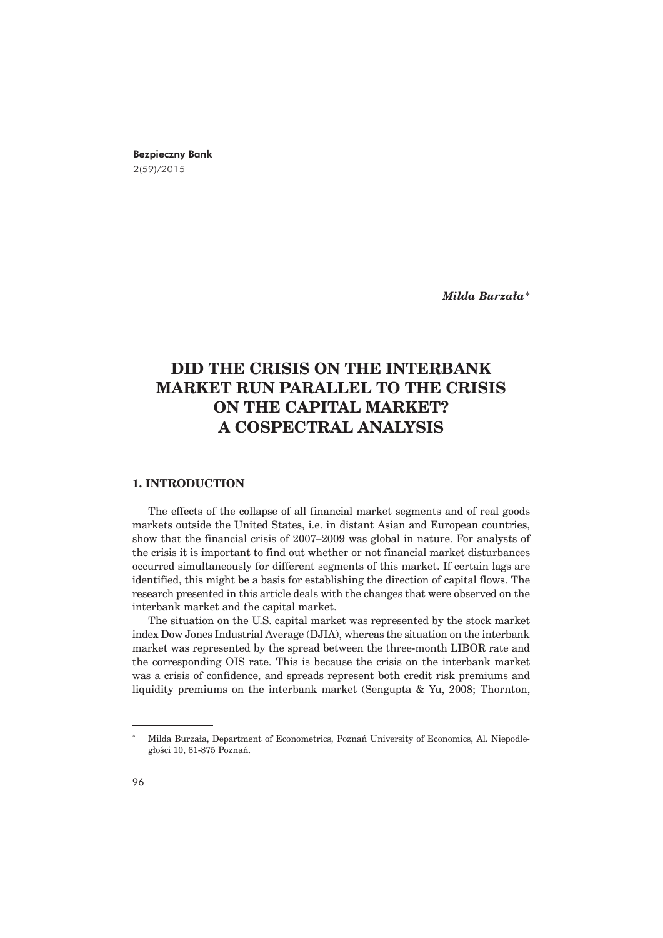# Bezpieczny Bank 2(59)/2015

*Milda Burzała\** 

# **DID THE CRISIS ON THE INTERBANK MARKET RUN PARALLEL TO THE CRISIS ON THE CAPITAL MARKET? A COSPECTRAL ANALYSIS**

### **1. INTRODUCTION**

The effects of the collapse of all financial market segments and of real goods markets outside the United States, i.e. in distant Asian and European countries, show that the financial crisis of 2007–2009 was global in nature. For analysts of the crisis it is important to find out whether or not financial market disturbances occurred simultaneously for different segments of this market. If certain lags are identified, this might be a basis for establishing the direction of capital flows. The research presented in this article deals with the changes that were observed on the interbank market and the capital market.

The situation on the U.S. capital market was represented by the stock market index Dow Jones Industrial Average (DJIA), whereas the situation on the interbank market was represented by the spread between the three-month LIBOR rate and the corresponding OIS rate. This is because the crisis on the interbank market was a crisis of confidence, and spreads represent both credit risk premiums and liquidity premiums on the interbank market (Sengupta & Yu, 2008; Thornton,

Milda Burzaja, Department of Econometrics, Poznań University of Economics, Al. Niepodległości 10, 61-875 Poznań.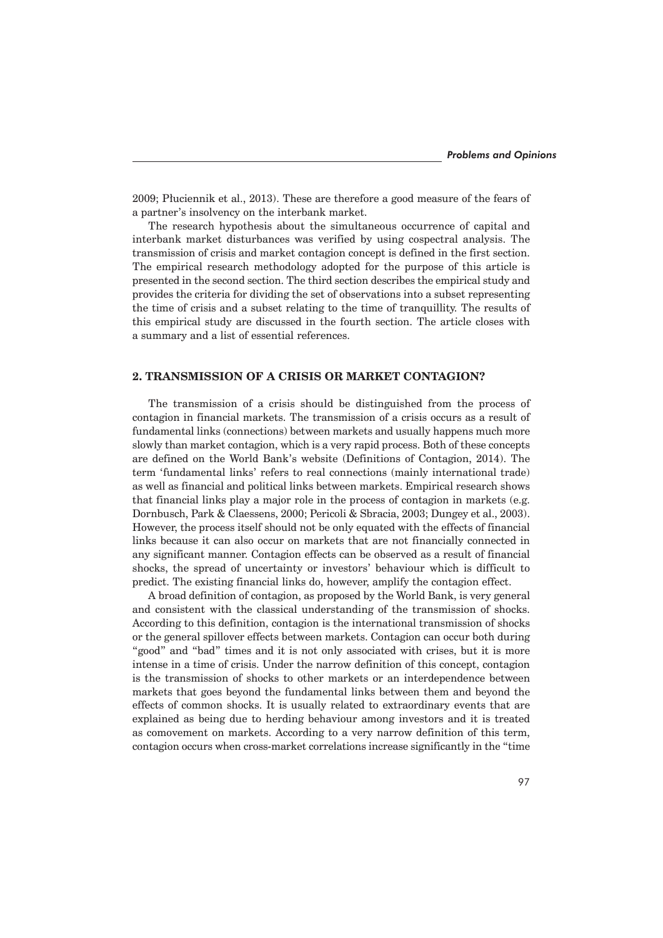2009; Pluciennik et al., 2013). These are therefore a good measure of the fears of a partner's insolvency on the interbank market.

The research hypothesis about the simultaneous occurrence of capital and interbank market disturbances was verified by using cospectral analysis. The transmission of crisis and market contagion concept is defined in the first section. The empirical research methodology adopted for the purpose of this article is presented in the second section. The third section describes the empirical study and provides the criteria for dividing the set of observations into a subset representing the time of crisis and a subset relating to the time of tranquillity. The results of this empirical study are discussed in the fourth section. The article closes with a summary and a list of essential references.

## **2. TRANSMISSION OF A CRISIS OR MARKET CONTAGION?**

The transmission of a crisis should be distinguished from the process of contagion in financial markets. The transmission of a crisis occurs as a result of fundamental links (connections) between markets and usually happens much more slowly than market contagion, which is a very rapid process. Both of these concepts are defined on the World Bank's website (Definitions of Contagion, 2014). The term 'fundamental links' refers to real connections (mainly international trade) as well as financial and political links between markets. Empirical research shows that financial links play a major role in the process of contagion in markets (e.g. Dornbusch, Park & Claessens, 2000; Pericoli & Sbracia, 2003; Dungey et al., 2003). However, the process itself should not be only equated with the effects of financial links because it can also occur on markets that are not financially connected in any significant manner. Contagion effects can be observed as a result of financial shocks, the spread of uncertainty or investors' behaviour which is difficult to predict. The existing financial links do, however, amplify the contagion effect.

A broad definition of contagion, as proposed by the World Bank, is very general and consistent with the classical understanding of the transmission of shocks. According to this definition, contagion is the international transmission of shocks or the general spillover effects between markets. Contagion can occur both during "good" and "bad" times and it is not only associated with crises, but it is more intense in a time of crisis. Under the narrow definition of this concept, contagion is the transmission of shocks to other markets or an interdependence between markets that goes beyond the fundamental links between them and beyond the effects of common shocks. It is usually related to extraordinary events that are explained as being due to herding behaviour among investors and it is treated as comovement on markets. According to a very narrow definition of this term, contagion occurs when cross-market correlations increase significantly in the "time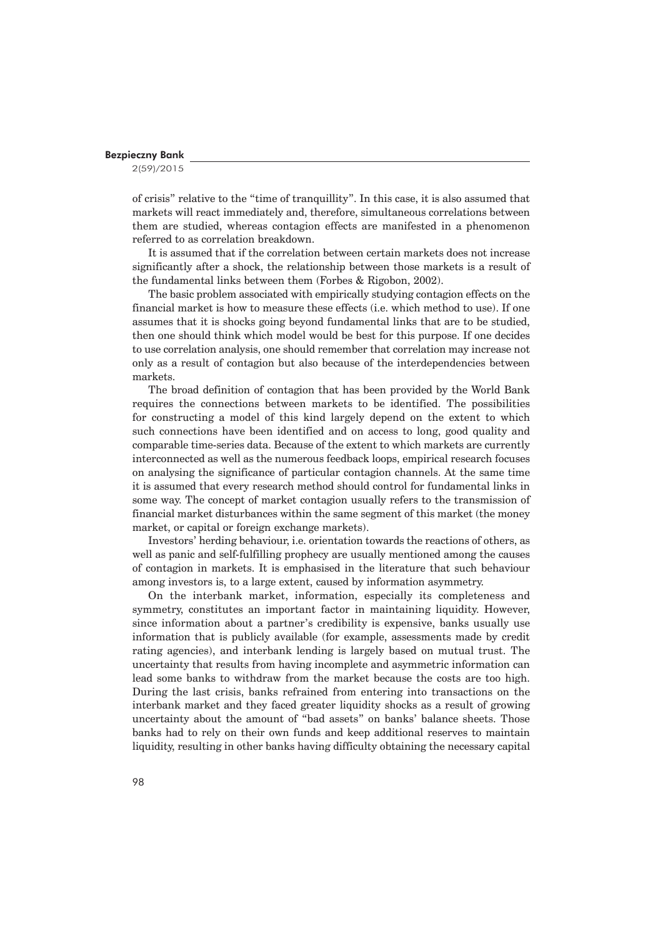2(59)/2015

of crisis" relative to the "time of tranquillity". In this case, it is also assumed that markets will react immediately and, therefore, simultaneous correlations between them are studied, whereas contagion effects are manifested in a phenomenon referred to as correlation breakdown.

It is assumed that if the correlation between certain markets does not increase significantly after a shock, the relationship between those markets is a result of the fundamental links between them (Forbes & Rigobon, 2002).

The basic problem associated with empirically studying contagion effects on the financial market is how to measure these effects (i.e. which method to use). If one assumes that it is shocks going beyond fundamental links that are to be studied, then one should think which model would be best for this purpose. If one decides to use correlation analysis, one should remember that correlation may increase not only as a result of contagion but also because of the interdependencies between markets.

The broad definition of contagion that has been provided by the World Bank requires the connections between markets to be identified. The possibilities for constructing a model of this kind largely depend on the extent to which such connections have been identified and on access to long, good quality and comparable time-series data. Because of the extent to which markets are currently interconnected as well as the numerous feedback loops, empirical research focuses on analysing the significance of particular contagion channels. At the same time it is assumed that every research method should control for fundamental links in some way. The concept of market contagion usually refers to the transmission of financial market disturbances within the same segment of this market (the money market, or capital or foreign exchange markets).

Investors' herding behaviour, i.e. orientation towards the reactions of others, as well as panic and self-fulfilling prophecy are usually mentioned among the causes of contagion in markets. It is emphasised in the literature that such behaviour among investors is, to a large extent, caused by information asymmetry.

On the interbank market, information, especially its completeness and symmetry, constitutes an important factor in maintaining liquidity. However, since information about a partner's credibility is expensive, banks usually use information that is publicly available (for example, assessments made by credit rating agencies), and interbank lending is largely based on mutual trust. The uncertainty that results from having incomplete and asymmetric information can lead some banks to withdraw from the market because the costs are too high. During the last crisis, banks refrained from entering into transactions on the interbank market and they faced greater liquidity shocks as a result of growing uncertainty about the amount of "bad assets" on banks' balance sheets. Those banks had to rely on their own funds and keep additional reserves to maintain liquidity, resulting in other banks having difficulty obtaining the necessary capital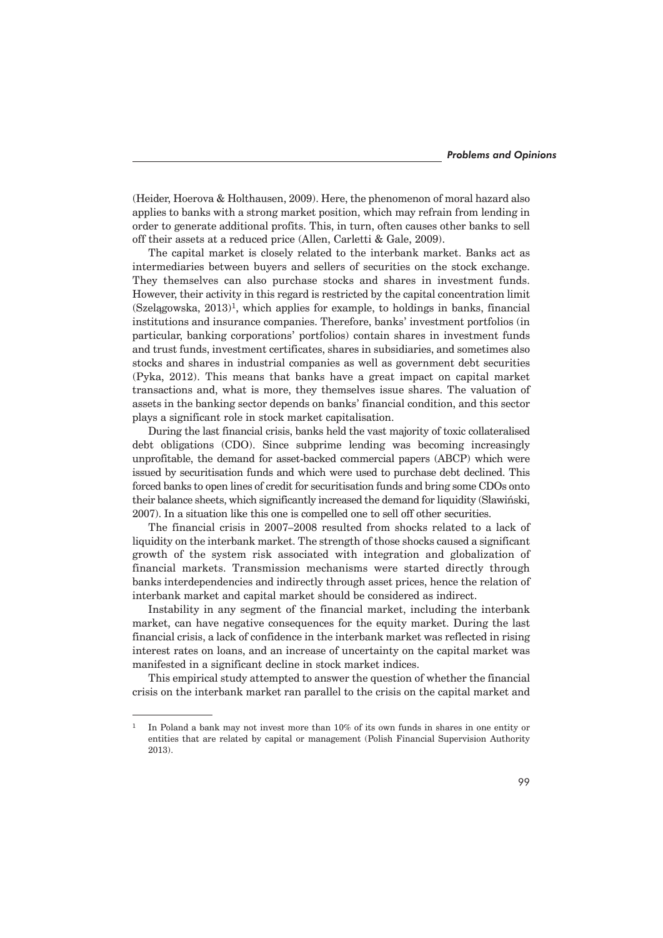(Heider, Hoerova & Holthausen, 2009). Here, the phenomenon of moral hazard also applies to banks with a strong market position, which may refrain from lending in order to generate additional profits. This, in turn, often causes other banks to sell off their assets at a reduced price (Allen, Carletti & Gale, 2009).

The capital market is closely related to the interbank market. Banks act as intermediaries between buyers and sellers of securities on the stock exchange. They themselves can also purchase stocks and shares in investment funds. However, their activity in this regard is restricted by the capital concentration limit  $(Szelagowska, 2013)<sup>1</sup>$ , which applies for example, to holdings in banks, financial institutions and insurance companies. Therefore, banks' investment portfolios (in particular, banking corporations' portfolios) contain shares in investment funds and trust funds, investment certificates, shares in subsidiaries, and sometimes also stocks and shares in industrial companies as well as government debt securities (Pyka, 2012). This means that banks have a great impact on capital market transactions and, what is more, they themselves issue shares. The valuation of assets in the banking sector depends on banks' financial condition, and this sector plays a significant role in stock market capitalisation.

During the last financial crisis, banks held the vast majority of toxic collateralised debt obligations (CDO). Since subprime lending was becoming increasingly unprofitable, the demand for asset-backed commercial papers (ABCP) which were issued by securitisation funds and which were used to purchase debt declined. This forced banks to open lines of credit for securitisation funds and bring some CDOs onto their balance sheets, which significantly increased the demand for liquidity (Sïawiñski, 2007). In a situation like this one is compelled one to sell off other securities.

The financial crisis in 2007–2008 resulted from shocks related to a lack of liquidity on the interbank market. The strength of those shocks caused a significant growth of the system risk associated with integration and globalization of financial markets. Transmission mechanisms were started directly through banks interdependencies and indirectly through asset prices, hence the relation of interbank market and capital market should be considered as indirect.

Instability in any segment of the financial market, including the interbank market, can have negative consequences for the equity market. During the last financial crisis, a lack of confidence in the interbank market was reflected in rising interest rates on loans, and an increase of uncertainty on the capital market was manifested in a significant decline in stock market indices.

This empirical study attempted to answer the question of whether the financial crisis on the interbank market ran parallel to the crisis on the capital market and

<sup>&</sup>lt;sup>1</sup> In Poland a bank may not invest more than 10% of its own funds in shares in one entity or entities that are related by capital or management (Polish Financial Supervision Authority 2013).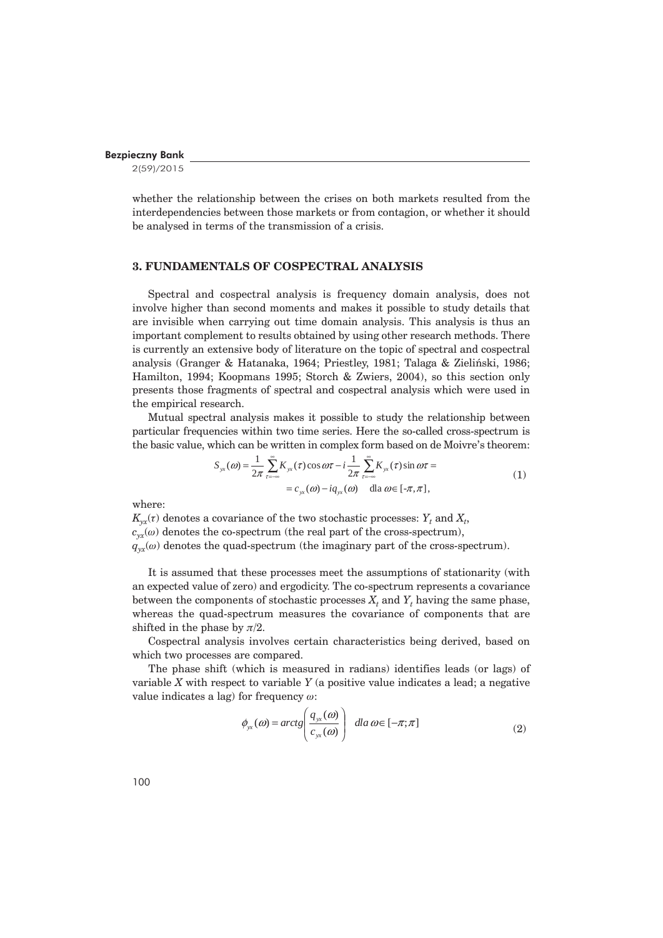2(59)/2015

whether the relationship between the crises on both markets resulted from the interdependencies between those markets or from contagion, or whether it should be analysed in terms of the transmission of a crisis.

## **3. FUNDAMENTALS OF COSPECTRAL ANALYSIS**

Spectral and cospectral analysis is frequency domain analysis, does not involve higher than second moments and makes it possible to study details that are invisible when carrying out time domain analysis. This analysis is thus an important complement to results obtained by using other research methods. There is currently an extensive body of literature on the topic of spectral and cospectral analysis (Granger & Hatanaka, 1964; Priestley, 1981; Talaga & Zieliñski, 1986; Hamilton, 1994; Koopmans 1995; Storch & Zwiers, 2004), so this section only presents those fragments of spectral and cospectral analysis which were used in the empirical research.

Mutual spectral analysis makes it possible to study the relationship between particular frequencies within two time series. Here the so-called cross-spectrum is the basic value, which can be written in complex form based on de Moivre's theorem:

$$
S_{yx}(\omega) = \frac{1}{2\pi} \sum_{\tau = -\infty}^{\infty} K_{yx}(\tau) \cos \omega \tau - i \frac{1}{2\pi} \sum_{\tau = -\infty}^{\infty} K_{yx}(\tau) \sin \omega \tau =
$$
  
=  $c_{yx}(\omega) - iq_{yx}(\omega)$  dla  $\omega \in [-\pi, \pi]$ , (1)

where:

 $K_{yx}^{}(t)$  denotes a covariance of the two stochastic processes:  $Y_t$  and  $X_t$ ,  $c_{yx}(\omega)$  denotes the co-spectrum (the real part of the cross-spectrum),  $q_{yx}(\omega)$  denotes the quad-spectrum (the imaginary part of the cross-spectrum).

It is assumed that these processes meet the assumptions of stationarity (with an expected value of zero) and ergodicity. The co-spectrum represents a covariance between the components of stochastic processes  $X_t$  and  $Y_t$  having the same phase, whereas the quad-spectrum measures the covariance of components that are shifted in the phase by  $\pi/2$ .

Cospectral analysis involves certain characteristics being derived, based on which two processes are compared.

The phase shift (which is measured in radians) identifies leads (or lags) of variable *X* with respect to variable *Y* (a positive value indicates a lead; a negative value indicates a lag) for frequency  $\omega$ :

$$
\phi_{yx}(\omega) = \arctg\left(\frac{q_{yx}(\omega)}{c_{yx}(\omega)}\right) \quad \text{dla}\,\omega \in [-\pi;\pi] \tag{2}
$$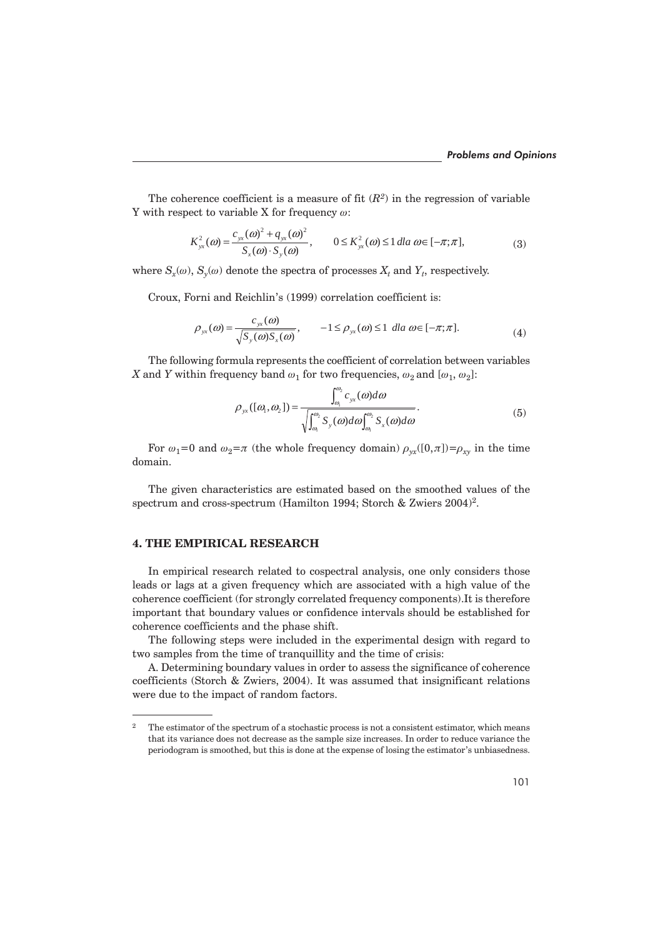The coherence coefficient is a measure of fit  $(R^2)$  in the regression of variable Y with respect to variable X for frequency  $\omega$ :

$$
K_{yx}^2(\omega) = \frac{c_{yx}(\omega)^2 + q_{yx}(\omega)^2}{S_x(\omega) \cdot S_y(\omega)}, \qquad 0 \le K_{yx}^2(\omega) \le 1 \, dla \, \omega \in [-\pi; \pi],\tag{3}
$$

where  $S_x(\omega)$ ,  $S_y(\omega)$  denote the spectra of processes  $X_t$  and  $Y_t$ , respectively.

Croux, Forni and Reichlin's (1999) correlation coefficient is:

$$
\rho_{yx}(\omega) = \frac{c_{yx}(\omega)}{\sqrt{S_y(\omega)S_x(\omega)}}, \qquad -1 \le \rho_{yx}(\omega) \le 1 \, \text{ dla } \omega \in [-\pi; \pi]. \tag{4}
$$

The following formula represents the coefficient of correlation between variables *X* and *Y* within frequency band  $\omega_1$  for two frequencies,  $\omega_2$  and  $[\omega_1, \omega_2]$ :

$$
\rho_{yx}([\omega_1, \omega_2]) = \frac{\int_{\omega_1}^{\omega_2} c_{yx}(\omega) d\omega}{\sqrt{\int_{\omega_1}^{\omega_2} S_y(\omega) d\omega} \int_{\omega_1}^{\omega_2} S_x(\omega) d\omega}.
$$
\n(5)

For  $\omega_1=0$  and  $\omega_2=\pi$  (the whole frequency domain)  $\rho_{yx}([0,\pi])=\rho_{xy}$  in the time domain.

The given characteristics are estimated based on the smoothed values of the spectrum and cross-spectrum (Hamilton 1994; Storch & Zwiers 2004)<sup>2</sup>.

# **4. THE EMPIRICAL RESEARCH**

In empirical research related to cospectral analysis, one only considers those leads or lags at a given frequency which are associated with a high value of the coherence coefficient (for strongly correlated frequency components).It is therefore important that boundary values or confidence intervals should be established for coherence coefficients and the phase shift.

The following steps were included in the experimental design with regard to two samples from the time of tranquillity and the time of crisis:

A. Determining boundary values in order to assess the significance of coherence coefficients (Storch & Zwiers, 2004). It was assumed that insignificant relations were due to the impact of random factors.

<sup>&</sup>lt;sup>2</sup> The estimator of the spectrum of a stochastic process is not a consistent estimator, which means that its variance does not decrease as the sample size increases. In order to reduce variance the periodogram is smoothed, but this is done at the expense of losing the estimator's unbiasedness.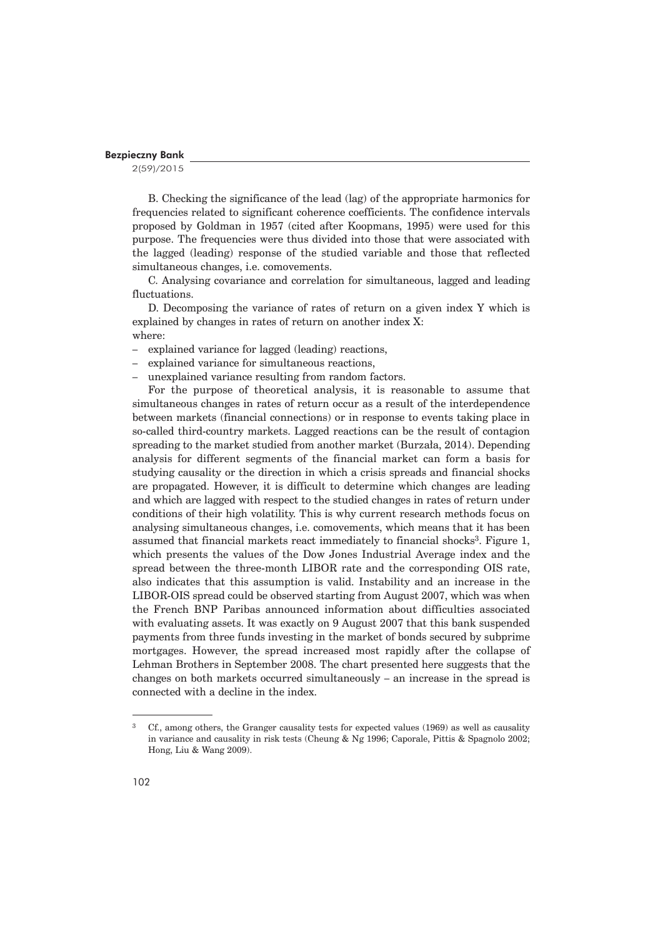2(59)/2015

B. Checking the significance of the lead (lag) of the appropriate harmonics for frequencies related to significant coherence coefficients. The confidence intervals proposed by Goldman in 1957 (cited after Koopmans, 1995) were used for this purpose. The frequencies were thus divided into those that were associated with the lagged (leading) response of the studied variable and those that reflected simultaneous changes, i.e. comovements.

C. Analysing covariance and correlation for simultaneous, lagged and leading fluctuations.

D. Decomposing the variance of rates of return on a given index Y which is explained by changes in rates of return on another index X: where:

- explained variance for lagged (leading) reactions,
- explained variance for simultaneous reactions,
- unexplained variance resulting from random factors.

For the purpose of theoretical analysis, it is reasonable to assume that simultaneous changes in rates of return occur as a result of the interdependence between markets (financial connections) or in response to events taking place in so-called third-country markets. Lagged reactions can be the result of contagion spreading to the market studied from another market (Burzała, 2014). Depending analysis for different segments of the financial market can form a basis for studying causality or the direction in which a crisis spreads and financial shocks are propagated. However, it is difficult to determine which changes are leading and which are lagged with respect to the studied changes in rates of return under conditions of their high volatility. This is why current research methods focus on analysing simultaneous changes, i.e. comovements, which means that it has been assumed that financial markets react immediately to financial shocks<sup>3</sup>. Figure 1, which presents the values of the Dow Jones Industrial Average index and the spread between the three-month LIBOR rate and the corresponding OIS rate, also indicates that this assumption is valid. Instability and an increase in the LIBOR-OIS spread could be observed starting from August 2007, which was when the French BNP Paribas announced information about difficulties associated with evaluating assets. It was exactly on 9 August 2007 that this bank suspended payments from three funds investing in the market of bonds secured by subprime mortgages. However, the spread increased most rapidly after the collapse of Lehman Brothers in September 2008. The chart presented here suggests that the changes on both markets occurred simultaneously – an increase in the spread is connected with a decline in the index.

<sup>&</sup>lt;sup>3</sup> Cf., among others, the Granger causality tests for expected values (1969) as well as causality in variance and causality in risk tests (Cheung & Ng 1996; Caporale, Pittis & Spagnolo 2002; Hong, Liu & Wang 2009).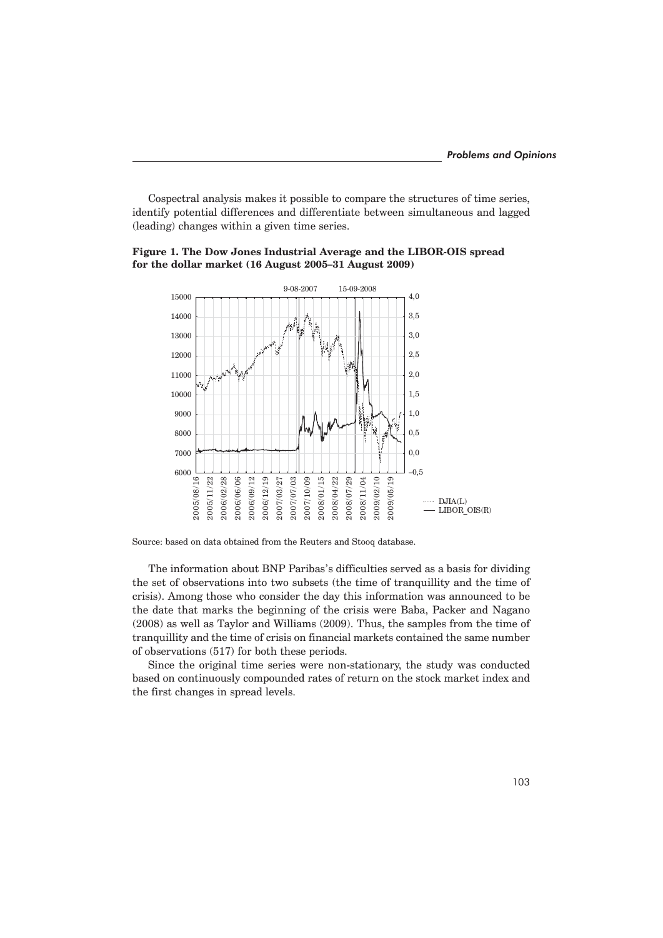Cospectral analysis makes it possible to compare the structures of time series, identify potential differences and differentiate between simultaneous and lagged (leading) changes within a given time series.



## **Figure 1. The Dow Jones Industrial Average and the LIBOR-OIS spread for the dollar market (16 August 2005–31 August 2009)**

The information about BNP Paribas's difficulties served as a basis for dividing the set of observations into two subsets (the time of tranquillity and the time of crisis). Among those who consider the day this information was announced to be the date that marks the beginning of the crisis were Baba, Packer and Nagano (2008) as well as Taylor and Williams (2009). Thus, the samples from the time of tranquillity and the time of crisis on financial markets contained the same number of observations (517) for both these periods.

Since the original time series were non-stationary, the study was conducted based on continuously compounded rates of return on the stock market index and the first changes in spread levels.

Source: based on data obtained from the Reuters and Stooq database.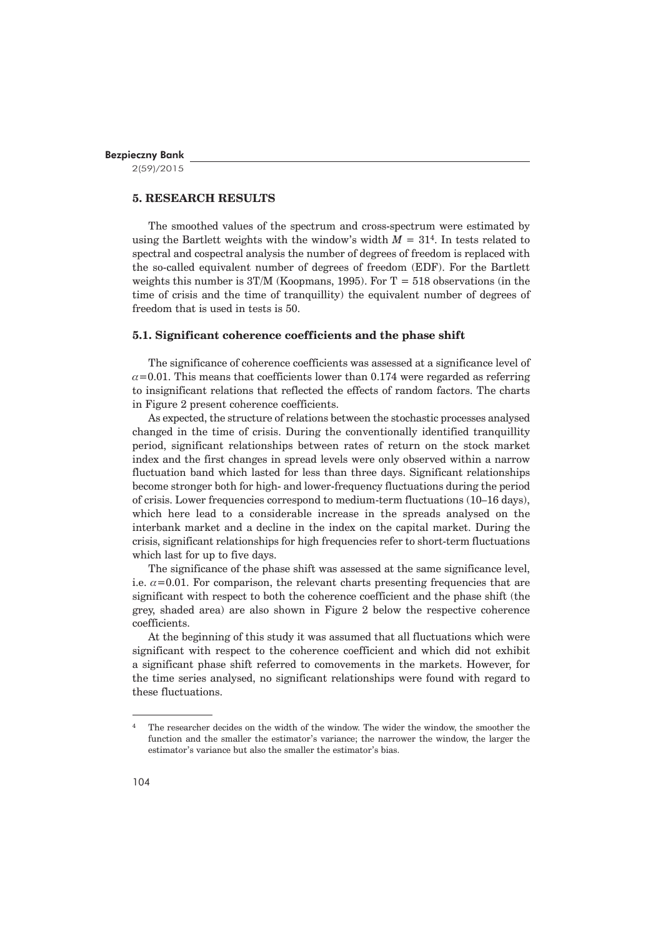2(59)/2015

# **5. RESEARCH RESULTS**

The smoothed values of the spectrum and cross-spectrum were estimated by using the Bartlett weights with the window's width  $M = 31<sup>4</sup>$ . In tests related to spectral and cospectral analysis the number of degrees of freedom is replaced with the so-called equivalent number of degrees of freedom (EDF). For the Bartlett weights this number is  $3T/M$  (Koopmans, 1995). For  $T = 518$  observations (in the time of crisis and the time of tranquillity) the equivalent number of degrees of freedom that is used in tests is 50.

#### **5.1. Significant coherence coefficients and the phase shift**

The significance of coherence coefficients was assessed at a significance level of  $\alpha$ =0.01. This means that coefficients lower than 0.174 were regarded as referring to insignificant relations that reflected the effects of random factors. The charts in Figure 2 present coherence coefficients.

As expected, the structure of relations between the stochastic processes analysed changed in the time of crisis. During the conventionally identified tranquillity period, significant relationships between rates of return on the stock market index and the first changes in spread levels were only observed within a narrow fluctuation band which lasted for less than three days. Significant relationships become stronger both for high- and lower-frequency fluctuations during the period of crisis. Lower frequencies correspond to medium-term fluctuations (10–16 days), which here lead to a considerable increase in the spreads analysed on the interbank market and a decline in the index on the capital market. During the crisis, significant relationships for high frequencies refer to short-term fluctuations which last for up to five days.

The significance of the phase shift was assessed at the same significance level, i.e.  $\alpha$ =0.01. For comparison, the relevant charts presenting frequencies that are significant with respect to both the coherence coefficient and the phase shift (the grey, shaded area) are also shown in Figure 2 below the respective coherence coefficients.

At the beginning of this study it was assumed that all fluctuations which were significant with respect to the coherence coefficient and which did not exhibit a significant phase shift referred to comovements in the markets. However, for the time series analysed, no significant relationships were found with regard to these fluctuations.

<sup>4</sup> The researcher decides on the width of the window. The wider the window, the smoother the function and the smaller the estimator's variance; the narrower the window, the larger the estimator's variance but also the smaller the estimator's bias.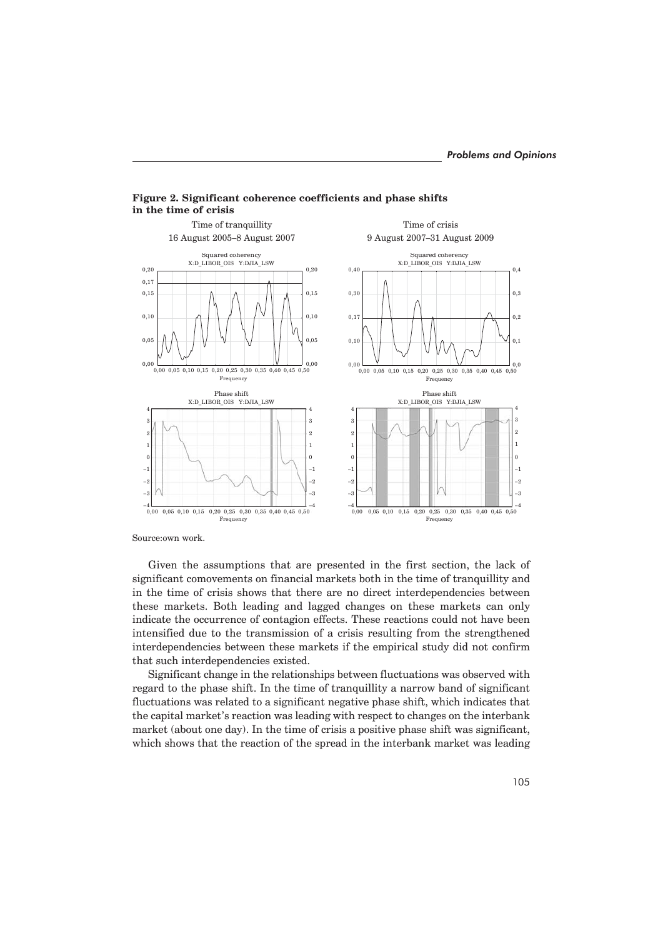

**Figure 2. Significant coherence coefficients and phase shifts in the time of crisis**

Source:own work.

Given the assumptions that are presented in the first section, the lack of significant comovements on financial markets both in the time of tranquillity and in the time of crisis shows that there are no direct interdependencies between these markets. Both leading and lagged changes on these markets can only indicate the occurrence of contagion effects. These reactions could not have been intensified due to the transmission of a crisis resulting from the strengthened interdependencies between these markets if the empirical study did not confirm that such interdependencies existed.

Significant change in the relationships between fluctuations was observed with regard to the phase shift. In the time of tranquillity a narrow band of significant fluctuations was related to a significant negative phase shift, which indicates that the capital market's reaction was leading with respect to changes on the interbank market (about one day). In the time of crisis a positive phase shift was significant, which shows that the reaction of the spread in the interbank market was leading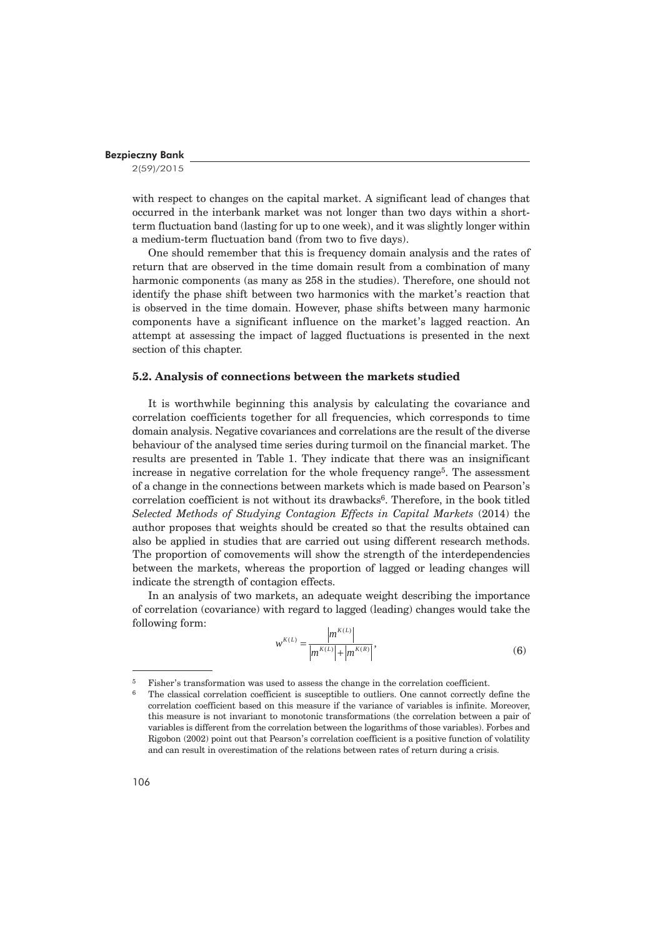2(59)/2015

with respect to changes on the capital market. A significant lead of changes that occurred in the interbank market was not longer than two days within a shortterm fluctuation band (lasting for up to one week), and it was slightly longer within a medium-term fluctuation band (from two to five days).

One should remember that this is frequency domain analysis and the rates of return that are observed in the time domain result from a combination of many harmonic components (as many as 258 in the studies). Therefore, one should not identify the phase shift between two harmonics with the market's reaction that is observed in the time domain. However, phase shifts between many harmonic components have a significant influence on the market's lagged reaction. An attempt at assessing the impact of lagged fluctuations is presented in the next section of this chapter.

# **5.2. Analysis of connections between the markets studied**

It is worthwhile beginning this analysis by calculating the covariance and correlation coefficients together for all frequencies, which corresponds to time domain analysis. Negative covariances and correlations are the result of the diverse behaviour of the analysed time series during turmoil on the financial market. The results are presented in Table 1. They indicate that there was an insignificant increase in negative correlation for the whole frequency range5. The assessment of a change in the connections between markets which is made based on Pearson's correlation coefficient is not without its drawbacks<sup>6</sup>. Therefore, in the book titled *Selected Methods of Studying Contagion Effects in Capital Markets* (2014) the author proposes that weights should be created so that the results obtained can also be applied in studies that are carried out using different research methods. The proportion of comovements will show the strength of the interdependencies between the markets, whereas the proportion of lagged or leading changes will indicate the strength of contagion effects.

In an analysis of two markets, an adequate weight describing the importance of correlation (covariance) with regard to lagged (leading) changes would take the following form:

$$
w^{K(L)} = \frac{|m^{K(L)}|}{|m^{K(L)}| + |m^{K(R)}|},
$$
\n(6)

<sup>5</sup> Fisher's transformation was used to assess the change in the correlation coefficient.

<sup>&</sup>lt;sup>6</sup> The classical correlation coefficient is susceptible to outliers. One cannot correctly define the correlation coefficient based on this measure if the variance of variables is infinite. Moreover, this measure is not invariant to monotonic transformations (the correlation between a pair of variables is different from the correlation between the logarithms of those variables). Forbes and Rigobon (2002) point out that Pearson's correlation coefficient is a positive function of volatility and can result in overestimation of the relations between rates of return during a crisis.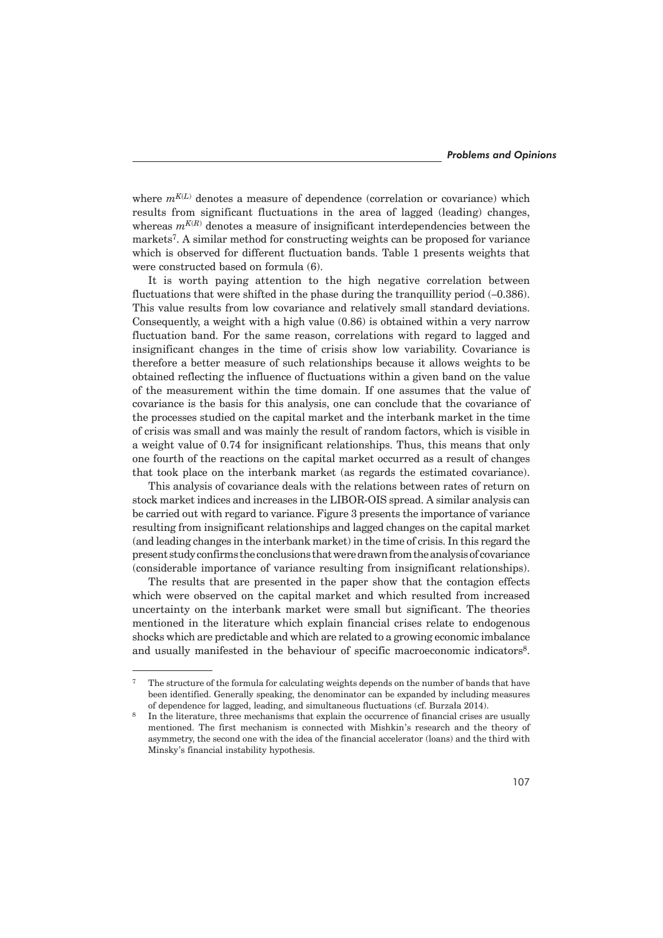where  $m^{K(L)}$  denotes a measure of dependence (correlation or covariance) which results from significant fluctuations in the area of lagged (leading) changes, whereas  $m^{K(R)}$  denotes a measure of insignificant interdependencies between the markets7. A similar method for constructing weights can be proposed for variance which is observed for different fluctuation bands. Table 1 presents weights that were constructed based on formula (6).

It is worth paying attention to the high negative correlation between fluctuations that were shifted in the phase during the tranquillity period  $(-0.386)$ . This value results from low covariance and relatively small standard deviations. Consequently, a weight with a high value (0.86) is obtained within a very narrow fluctuation band. For the same reason, correlations with regard to lagged and insignificant changes in the time of crisis show low variability. Covariance is therefore a better measure of such relationships because it allows weights to be obtained reflecting the influence of fluctuations within a given band on the value of the measurement within the time domain. If one assumes that the value of covariance is the basis for this analysis, one can conclude that the covariance of the processes studied on the capital market and the interbank market in the time of crisis was small and was mainly the result of random factors, which is visible in a weight value of 0.74 for insignificant relationships. Thus, this means that only one fourth of the reactions on the capital market occurred as a result of changes that took place on the interbank market (as regards the estimated covariance).

This analysis of covariance deals with the relations between rates of return on stock market indices and increases in the LIBOR-OIS spread. A similar analysis can be carried out with regard to variance. Figure 3 presents the importance of variance resulting from insignificant relationships and lagged changes on the capital market (and leading changes in the interbank market) in the time of crisis. In this regard the present study confirms the conclusions that were drawn from the analysis of covariance (considerable importance of variance resulting from insignificant relationships).

The results that are presented in the paper show that the contagion effects which were observed on the capital market and which resulted from increased uncertainty on the interbank market were small but significant. The theories mentioned in the literature which explain financial crises relate to endogenous shocks which are predictable and which are related to a growing economic imbalance and usually manifested in the behaviour of specific macroeconomic indicators<sup>8</sup>.

<sup>7</sup> The structure of the formula for calculating weights depends on the number of bands that have been identified. Generally speaking, the denominator can be expanded by including measures of dependence for lagged, leading, and simultaneous fluctuations (cf. Burzała 2014).

In the literature, three mechanisms that explain the occurrence of financial crises are usually mentioned. The first mechanism is connected with Mishkin's research and the theory of asymmetry, the second one with the idea of the financial accelerator (loans) and the third with Minsky's financial instability hypothesis.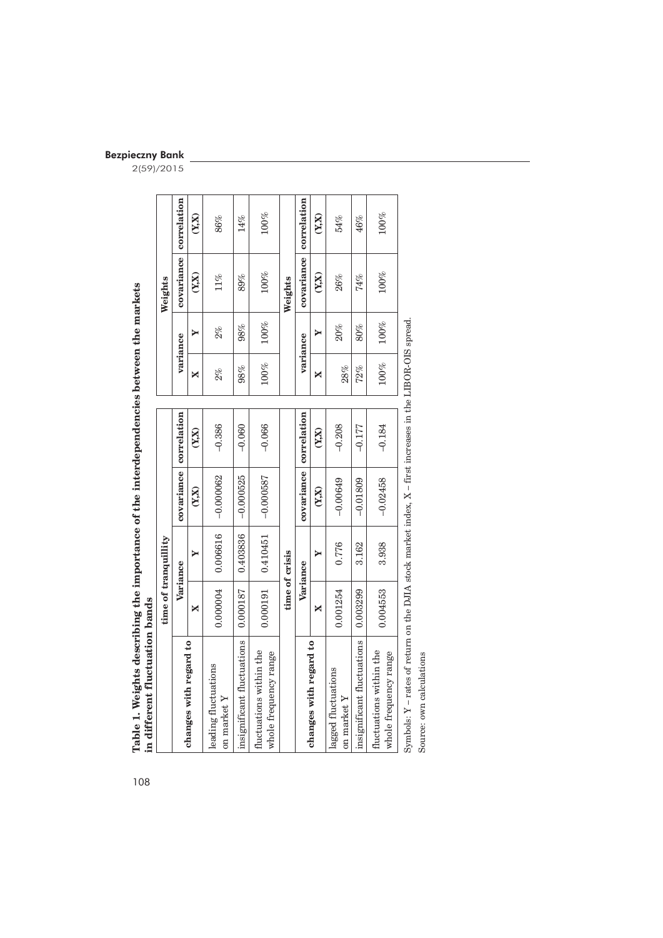| TANDE TO MESSING MESSING THE MILE OF THE THREE WAS THE THREE OF THE THE THE THE THE THE THAT ACTES<br>in different fluctuation bands |          |                      |                        |                |          |         |            |             |
|--------------------------------------------------------------------------------------------------------------------------------------|----------|----------------------|------------------------|----------------|----------|---------|------------|-------------|
|                                                                                                                                      |          | time of tranquillity |                        |                |          |         | Weights    |             |
|                                                                                                                                      |          | Variance             | covariance             | correlation    | variance |         | covariance | correlation |
| changes with regard to                                                                                                               | ×        | ≻                    | (X,X)                  | (Y,X)          | ×        | ≻       | (X,X)      | (Y,X)       |
| leading fluctuations<br>on market $Y$                                                                                                | 0.000004 | 0.006616             | $-0.000062$            | $-0.386$       | $2\%$    | $2\%$   | $11\%$     | 86%         |
| insignificant fluctuations                                                                                                           | 0.000187 | 0.403836             | $-0.000525$            | $-0.060$       | 98%      | 98%     | 89%        | 14%         |
| fluctuations within the<br>whole frequency range                                                                                     | 0.000191 | 0.410451             | $-0.000587$            | $-0.066$       | $100\%$  | $100\%$ | $100\%$    | $100\%$     |
|                                                                                                                                      |          | time of crisis       |                        |                |          |         | Weights    |             |
|                                                                                                                                      |          | Variance             | covariance correlation |                | variance |         | covariance | correlation |
| changes with regard to                                                                                                               | ×        | Y                    | (X,X)                  | $(Y_{i}X_{i})$ | ×        | Y       | (X,X)      | (X,X)       |
| lagged fluctuations<br>on market $\boldsymbol{Y}$                                                                                    | 0.001254 | 0.776                | $-0.00649$             | $-0.208$       | 28%      | 20%     | 26%        | 54%         |
| insignificant fluctuations                                                                                                           | 0.003299 | 3.162                | $-0.01809$             | $-0.177$       | 72%      | 80%     | 74%        | 46%         |
| fluctuations within the<br>whole frequency range                                                                                     | 0.004553 | 3.938                | $-0.02458$             | $-0.184$       | $100\%$  | 100%    | $100\%$    | $100\%$     |
| Symbols: $Y$ – rates of return on the DJIA stock market index, $X$ – first increases in the LIBOR-OIS spread                         |          |                      |                        |                |          |         |            |             |

Table 1. Weights describing the importance of the interdependencies between the markets 108**Table 1. Weights describing the importance of the interdependencies between the markets in different fluctuation bands**

Source: own calculations

Source: own calculations

Bezpieczny Bank 2(59)/2015

108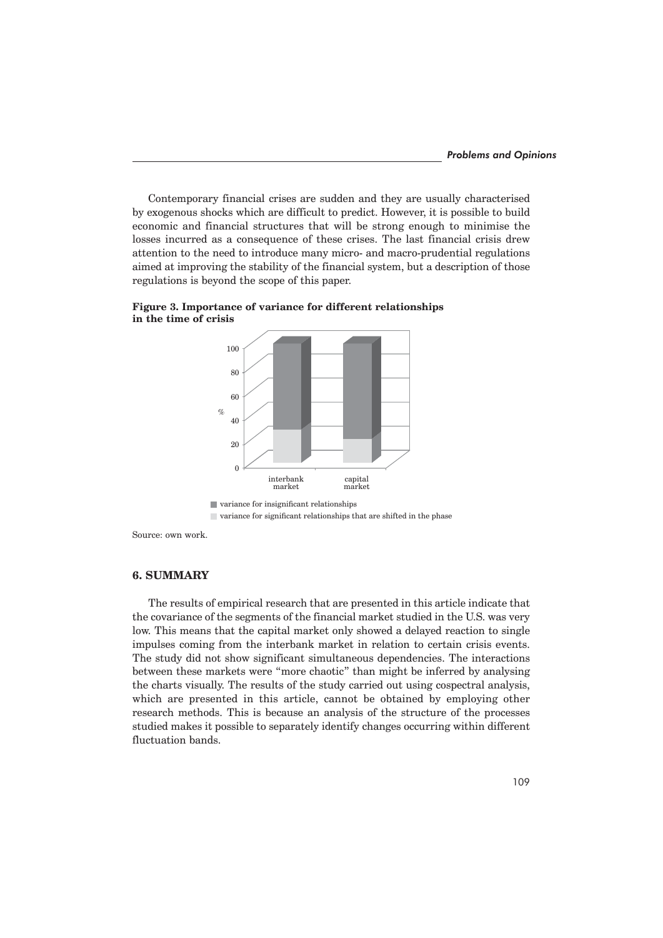Contemporary financial crises are sudden and they are usually characterised by exogenous shocks which are difficult to predict. However, it is possible to build economic and financial structures that will be strong enough to minimise the losses incurred as a consequence of these crises. The last financial crisis drew attention to the need to introduce many micro- and macro-prudential regulations aimed at improving the stability of the financial system, but a description of those regulations is beyond the scope of this paper.



**Figure 3. Importance of variance for different relationships in the time of crisis**

Source: own work.

## **6. SUMMARY**

The results of empirical research that are presented in this article indicate that the covariance of the segments of the financial market studied in the U.S. was very low. This means that the capital market only showed a delayed reaction to single impulses coming from the interbank market in relation to certain crisis events. The study did not show significant simultaneous dependencies. The interactions between these markets were "more chaotic" than might be inferred by analysing the charts visually. The results of the study carried out using cospectral analysis, which are presented in this article, cannot be obtained by employing other research methods. This is because an analysis of the structure of the processes studied makes it possible to separately identify changes occurring within different fluctuation bands.

variance for significant relationships that are shifted in the phase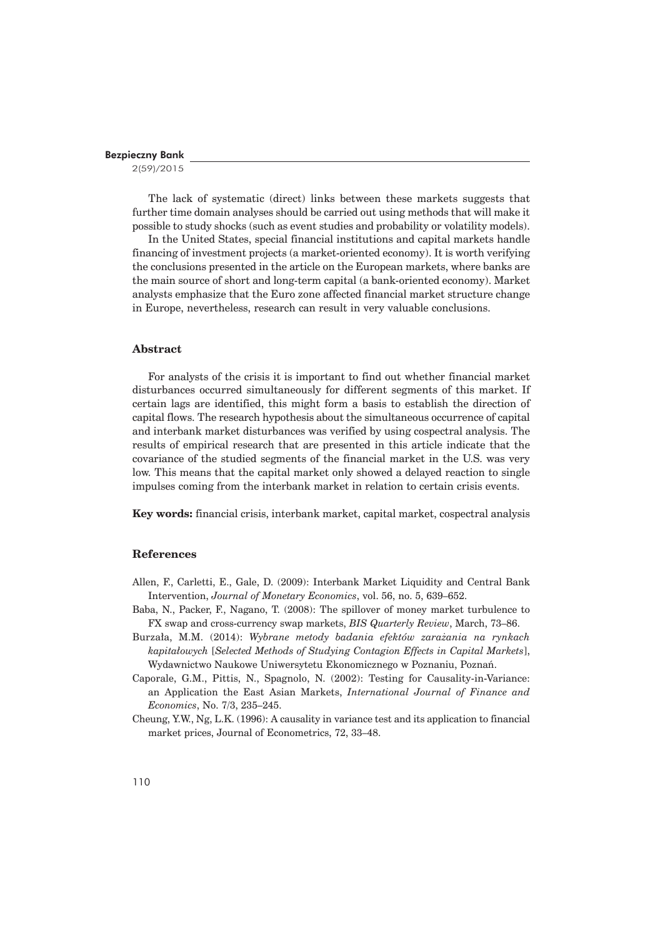2(59)/2015

The lack of systematic (direct) links between these markets suggests that further time domain analyses should be carried out using methods that will make it possible to study shocks (such as event studies and probability or volatility models).

In the United States, special financial institutions and capital markets handle financing of investment projects (a market-oriented economy). It is worth verifying the conclusions presented in the article on the European markets, where banks are the main source of short and long-term capital (a bank-oriented economy). Market analysts emphasize that the Euro zone affected financial market structure change in Europe, nevertheless, research can result in very valuable conclusions.

#### **Abstract**

For analysts of the crisis it is important to find out whether financial market disturbances occurred simultaneously for different segments of this market. If certain lags are identified, this might form a basis to establish the direction of capital flows. The research hypothesis about the simultaneous occurrence of capital and interbank market disturbances was verified by using cospectral analysis. The results of empirical research that are presented in this article indicate that the covariance of the studied segments of the financial market in the U.S. was very low. This means that the capital market only showed a delayed reaction to single impulses coming from the interbank market in relation to certain crisis events.

**Key words:** financial crisis, interbank market, capital market, cospectral analysis

## **References**

- Allen, F., Carletti, E., Gale, D. (2009): Interbank Market Liquidity and Central Bank Intervention, *Journal of Monetary Economics*, vol. 56, no. 5, 639–652.
- Baba, N., Packer, F., Nagano, T. (2008): The spillover of money market turbulence to FX swap and cross-currency swap markets, *BIS Quarterly Review*, March, 73–86.
- Burzaïa, M.M. (2014): *Wybrane metody badania efektów zaraĝania na rynkach kapitaïowych* [*Selected Methods of Studying Contagion Effects in Capital Markets*], Wydawnictwo Naukowe Uniwersytetu Ekonomicznego w Poznaniu, Poznañ.
- Caporale, G.M., Pittis, N., Spagnolo, N. (2002): Testing for Causality-in-Variance: an Application the East Asian Markets, *International Journal of Finance and Economics*, No. 7/3, 235–245.
- Cheung, Y.W., Ng, L.K. (1996): A causality in variance test and its application to financial market prices, Journal of Econometrics, 72, 33–48.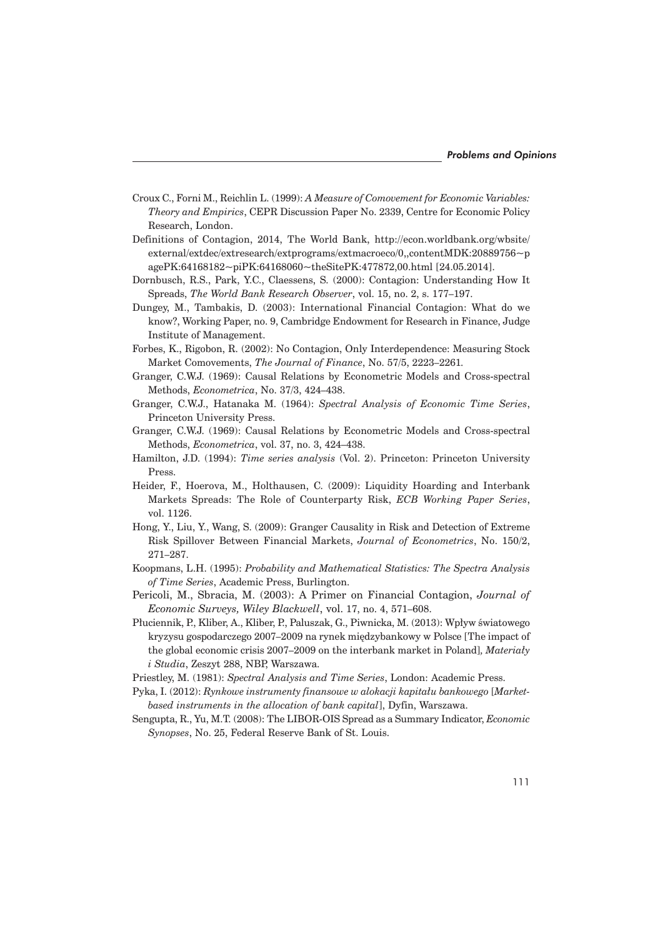- Croux C., Forni M., Reichlin L. (1999): *A Measure of Comovement for Economic Variables: Theory and Empirics*, CEPR Discussion Paper No. 2339, Centre for Economic Policy Research, London.
- Definitions of Contagion, 2014, The World Bank, http://econ.worldbank.org/wbsite/ external/extdec/extresearch/extprograms/extmacroeco/0,,contentMDK:20889756~p agePK:64168182~piPK:64168060~theSitePK:477872,00.html [24.05.2014].
- Dornbusch, R.S., Park, Y.C., Claessens, S. (2000): Contagion: Understanding How It Spreads, *The World Bank Research Observer*, vol. 15, no. 2, s. 177–197.
- Dungey, M., Tambakis, D. (2003): International Financial Contagion: What do we know?, Working Paper, no. 9, Cambridge Endowment for Research in Finance, Judge Institute of Management.
- Forbes, K., Rigobon, R. (2002): No Contagion, Only Interdependence: Measuring Stock Market Comovements, *The Journal of Finance*, No. 57/5, 2223–2261*.*
- Granger, C.W.J. (1969): Causal Relations by Econometric Models and Cross-spectral Methods, *Econometrica*, No. 37/3, 424–438.
- Granger, C.W.J., Hatanaka M. (1964): *Spectral Analysis of Economic Time Series*, Princeton University Press.
- Granger, C.W.J. (1969): Causal Relations by Econometric Models and Cross-spectral Methods, *Econometrica*, vol. 37, no. 3, 424–438.
- Hamilton, J.D. (1994): *Time series analysis* (Vol. 2). Princeton: Princeton University Press.
- Heider, F., Hoerova, M., Holthausen, C. (2009): Liquidity Hoarding and Interbank Markets Spreads: The Role of Counterparty Risk, *ECB Working Paper Series*, vol. 1126.
- Hong, Y., Liu, Y., Wang, S. (2009): Granger Causality in Risk and Detection of Extreme Risk Spillover Between Financial Markets, *Journal of Econometrics*, No. 150/2, 271–287.
- Koopmans, L.H. (1995): *Probability and Mathematical Statistics: The Spectra Analysis of Time Series*, Academic Press, Burlington.
- Pericoli, M., Sbracia, M. (2003): A Primer on Financial Contagion, *Journal of Economic Surveys, Wiley Blackwell*, vol. 17, no. 4, 571–608.
- Płuciennik, P., Kliber, A., Kliber, P., Paluszak, G., Piwnicka, M. (2013): Wpływ światowego kryzysu gospodarczego 2007–2009 na rynek międzybankowy w Polsce [The impact of the global economic crisis 2007–2009 on the interbank market in Poland]*, Materiaïy i Studia*, Zeszyt 288, NBP, Warszawa.
- Priestley, M. (1981): *Spectral Analysis and Time Series*, London: Academic Press.
- Pyka, I. (2012): *Rynkowe instrumenty finansowe w alokacji kapitaïu bankowego* [*Marketbased instruments in the allocation of bank capital*], Dyfin, Warszawa.
- Sengupta, R., Yu, M.T. (2008): The LIBOR-OIS Spread as a Summary Indicator, *Economic Synopses*, No. 25, Federal Reserve Bank of St. Louis.